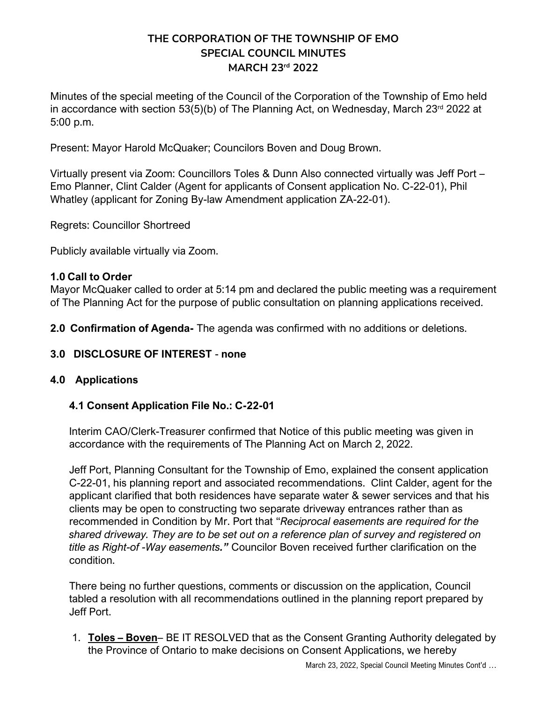# **THE CORPORATION OF THE TOWNSHIP OF EMO SPECIAL COUNCIL MINUTES MARCH 23rd 2022**

Minutes of the special meeting of the Council of the Corporation of the Township of Emo held in accordance with section 53(5)(b) of The Planning Act, on Wednesday, March  $23<sup>rd</sup>$  2022 at 5:00 p.m.

Present: Mayor Harold McQuaker; Councilors Boven and Doug Brown.

Virtually present via Zoom: Councillors Toles & Dunn Also connected virtually was Jeff Port – Emo Planner, Clint Calder (Agent for applicants of Consent application No. C-22-01), Phil Whatley (applicant for Zoning By-law Amendment application ZA-22-01).

Regrets: Councillor Shortreed

Publicly available virtually via Zoom.

## **1.0 Call to Order**

Mayor McQuaker called to order at 5:14 pm and declared the public meeting was a requirement of The Planning Act for the purpose of public consultation on planning applications received.

**2.0 Confirmation of Agenda-** The agenda was confirmed with no additions or deletions.

**3.0 DISCLOSURE OF INTEREST** - **none**

## **4.0 Applications**

## **4.1 Consent Application File No.: C-22-01**

Interim CAO/Clerk-Treasurer confirmed that Notice of this public meeting was given in accordance with the requirements of The Planning Act on March 2, 2022.

Jeff Port, Planning Consultant for the Township of Emo, explained the consent application C-22-01, his planning report and associated recommendations. Clint Calder, agent for the applicant clarified that both residences have separate water & sewer services and that his clients may be open to constructing two separate driveway entrances rather than as recommended in Condition by Mr. Port that "*Reciprocal easements are required for the shared driveway. They are to be set out on a reference plan of survey and registered on title as Right-of -Way easements."* Councilor Boven received further clarification on the condition.

There being no further questions, comments or discussion on the application, Council tabled a resolution with all recommendations outlined in the planning report prepared by Jeff Port.

1. **Toles – Boven**– BE IT RESOLVED that as the Consent Granting Authority delegated by the Province of Ontario to make decisions on Consent Applications, we hereby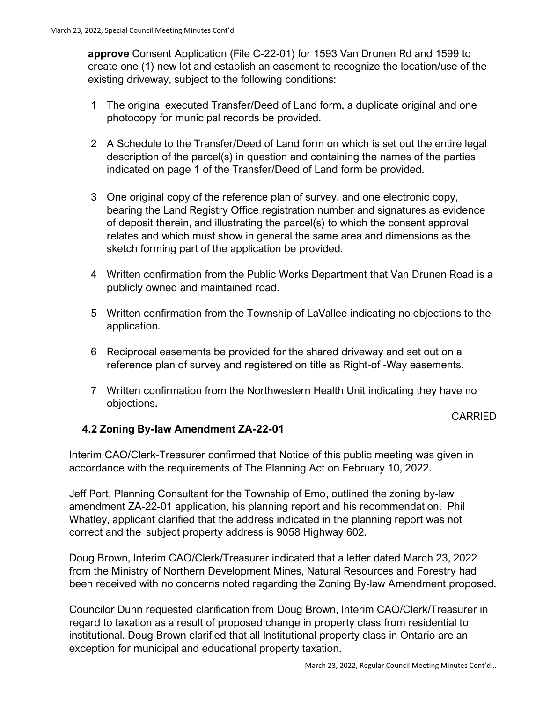**approve** Consent Application (File C-22-01) for 1593 Van Drunen Rd and 1599 to create one (1) new lot and establish an easement to recognize the location/use of the existing driveway, subject to the following conditions:

- 1 The original executed Transfer/Deed of Land form, a duplicate original and one photocopy for municipal records be provided.
- 2 A Schedule to the Transfer/Deed of Land form on which is set out the entire legal description of the parcel(s) in question and containing the names of the parties indicated on page 1 of the Transfer/Deed of Land form be provided.
- 3 One original copy of the reference plan of survey, and one electronic copy, bearing the Land Registry Office registration number and signatures as evidence of deposit therein, and illustrating the parcel(s) to which the consent approval relates and which must show in general the same area and dimensions as the sketch forming part of the application be provided.
- 4 Written confirmation from the Public Works Department that Van Drunen Road is a publicly owned and maintained road.
- 5 Written confirmation from the Township of LaVallee indicating no objections to the application.
- 6 Reciprocal easements be provided for the shared driveway and set out on a reference plan of survey and registered on title as Right-of -Way easements.
- 7 Written confirmation from the Northwestern Health Unit indicating they have no objections.

### CARRIED

## **4.2 Zoning By-law Amendment ZA-22-01**

Interim CAO/Clerk-Treasurer confirmed that Notice of this public meeting was given in accordance with the requirements of The Planning Act on February 10, 2022.

Jeff Port, Planning Consultant for the Township of Emo, outlined the zoning by-law amendment ZA-22-01 application, his planning report and his recommendation. Phil Whatley, applicant clarified that the address indicated in the planning report was not correct and the subject property address is 9058 Highway 602.

Doug Brown, Interim CAO/Clerk/Treasurer indicated that a letter dated March 23, 2022 from the Ministry of Northern Development Mines, Natural Resources and Forestry had been received with no concerns noted regarding the Zoning By-law Amendment proposed.

Councilor Dunn requested clarification from Doug Brown, Interim CAO/Clerk/Treasurer in regard to taxation as a result of proposed change in property class from residential to institutional. Doug Brown clarified that all Institutional property class in Ontario are an exception for municipal and educational property taxation.